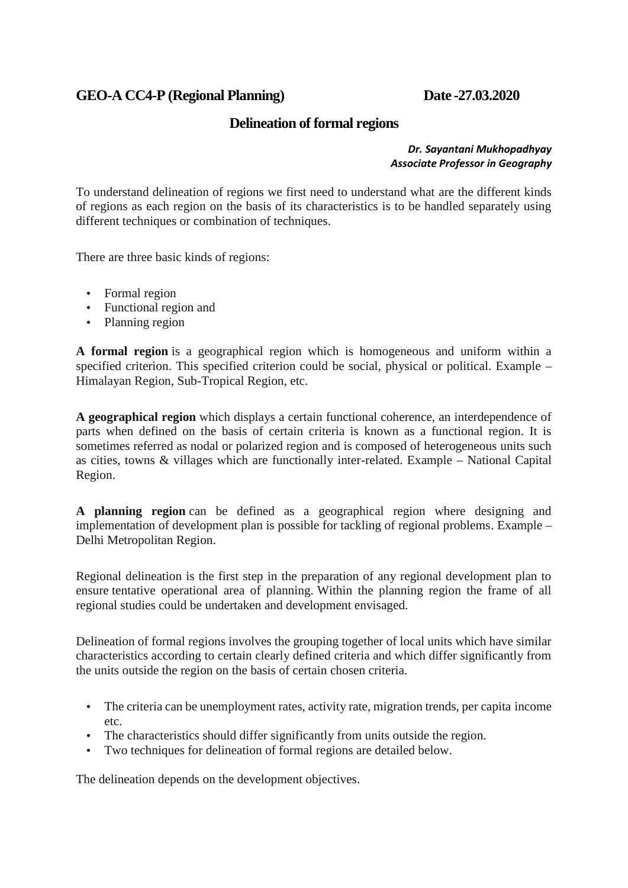# **GEO-A CC4-P (Regional Planning) Date -27.03.2020**

## **Delineation of formal regions**

#### *Dr. Sayantani Mukhopadhyay Associate Professor in Geography*

To understand delineation of regions we first need to understand what are the different kinds of regions as each region on the basis of its characteristics is to be handled separately using different techniques or combination of techniques.

There are three basic kinds of regions:

- Formal region
- Functional region and
- Planning region

**A formal region** is a geographical region which is homogeneous and uniform within a specified criterion. This specified criterion could be social, physical or political. Example – Himalayan Region, Sub-Tropical Region, etc.

**A geographical region** which displays a certain functional coherence, an interdependence of parts when defined on the basis of certain criteria is known as a functional region. It is sometimes referred as nodal or polarized region and is composed of heterogeneous units such as cities, towns & villages which are functionally inter-related. Example – National Capital Region.

**A planning region** can be defined as a geographical region where designing and implementation of development plan is possible for tackling of regional problems. Example – Delhi Metropolitan Region.

Regional delineation is the first step in the preparation of any regional development plan to ensure tentative operational area of planning. Within the planning region the frame of all regional studies could be undertaken and development envisaged.

Delineation of formal regions involves the grouping together of local units which have similar characteristics according to certain clearly defined criteria and which differ significantly from the units outside the region on the basis of certain chosen criteria.

- The criteria can be unemployment rates, activity rate, migration trends, per capita income etc.
- The characteristics should differ significantly from units outside the region.
- Two techniques for delineation of formal regions are detailed below.

The delineation depends on the development objectives.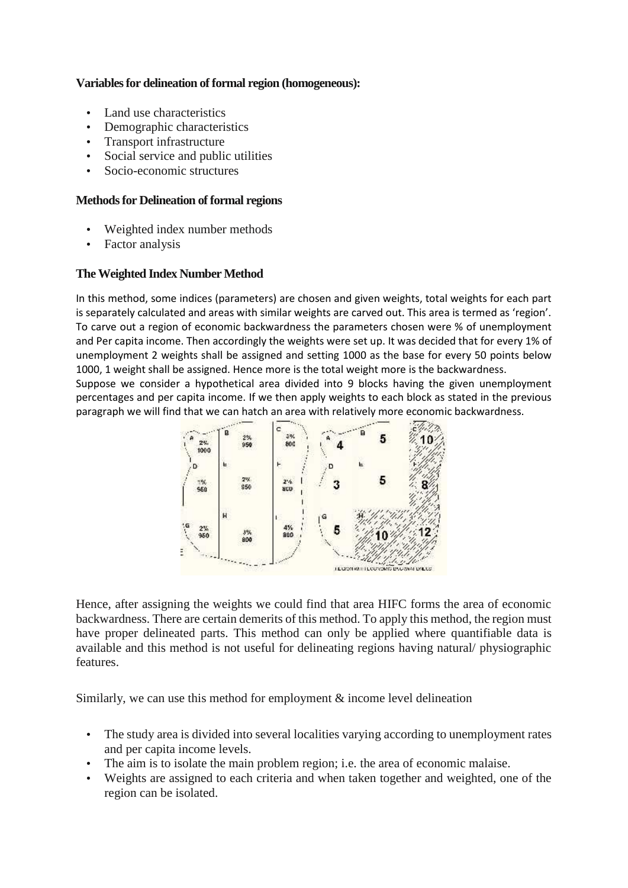#### **Variables for delineation of formal region (homogeneous):**

- Land use characteristics
- Demographic characteristics
- Transport infrastructure
- Social service and public utilities
- Socio-economic structures

#### **Methods for Delineation of formal regions**

- Weighted index number methods
- Factor analysis

### **The Weighted Index Number Method**

In this method, some indices (parameters) are chosen and given weights, total weights for each part is separately calculated and areas with similar weights are carved out. This area is termed as 'region'. To carve out a region of economic backwardness the parameters chosen were % of unemployment and Per capita income. Then accordingly the weights were set up. It was decided that for every 1% of unemployment 2 weights shall be assigned and setting 1000 as the base for every 50 points below 1000, 1 weight shall be assigned. Hence more is the total weight more is the backwardness.

Suppose we consider a hypothetical area divided into 9 blocks having the given unemployment percentages and per capita income. If we then apply weights to each block as stated in the previous paragraph we will find that we can hatch an area with relatively more economic backwardness.



Hence, after assigning the weights we could find that area HIFC forms the area of economic backwardness. There are certain demerits of this method. To apply this method, the region must have proper delineated parts. This method can only be applied where quantifiable data is available and this method is not useful for delineating regions having natural/ physiographic features.

Similarly, we can use this method for employment & income level delineation

- The study area is divided into several localities varying according to unemployment rates and per capita income levels.
- The aim is to isolate the main problem region; i.e. the area of economic malaise.
- Weights are assigned to each criteria and when taken together and weighted, one of the region can be isolated.